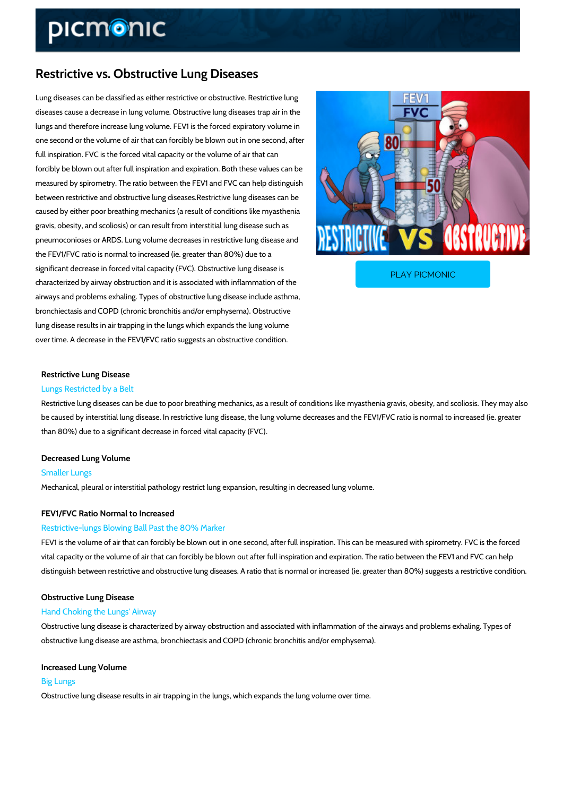# Restrictive vs. Obstructive Lung Diseases

Lung diseases can be classified as either restrictive or obstructive. Restrictive lung diseases cause a decrease in lung volume. Obstructive lung diseases trap air in the lungs and therefore increase lung volume. FEV1 is the forced expiratory volume in one second or the volume of air that can forcibly be blown out in one second, after full inspiration. FVC is the forced vital capacity or the volume of air that can forcibly be blown out after full inspiration and expiration. Both these values can be measured by spirometry. The ratio between the FEV1 and FVC can help distinguish between restrictive and obstructive lung diseases.Restrictive lung diseases can be caused by either poor breathing mechanics (a result of conditions like myasthenia gravis, obesity, and scoliosis) or can result from interstitial lung disease such as pneumoconioses or ARDS. Lung volume decreases in restrictive lung disease and the FEV1/FVC ratio is normal to increased (ie. greater than 80%) due to a

significant decrease in forced vital capacity (FVC). Obstr characterized by airway obstruction and it is associated w

PLAY PICMONIC

airways and problems exhaling. Types of obstructive lung disease include asthma, bronchiectasis and COPD (chronic bronchitis and/or emphysema). Obstructive lung disease results in air trapping in the lungs which expands the lung volume over time. A decrease in the FEV1/FVC ratio suggests an obstructive condition.

## Restrictive Lung Disease Lungs Restricted by a Belt

Restrictive lung diseases can be due to poor breathing mechanics, as a result of conditions li be caused by interstitial lung disease. In restrictive lung disease, the lung volume decreases than 80%) due to a significant decrease in forced vital capacity (FVC).

#### Decreased Lung Volume

#### Smaller Lungs

Mechanical, pleural or interstitial pathology restrict lung expansion, resulting in decreased lu

## FEV1/FVC Ratio Normal to Increased

#### Restrictive-lungs Blowing Ball Past the 80% Marker

FEV1 is the volume of air that can forcibly be blown out in one second, after full inspiration. vital capacity or the volume of air that can forcibly be blown out after full inspiration and exp distinguish between restrictive and obstructive lung diseases. A ratio that is normal or increa

## Obstructive Lung Disease Hand Choking the Lungs' Airway

Obstructive lung disease is characterized by airway obstruction and associated with inflamma obstructive lung disease are asthma, bronchiectasis and COPD (chronic bronchitis and/or emp

# Increased Lung Volume

## Big Lungs

Obstructive lung disease results in air trapping in the lungs, which expands the lung volume o